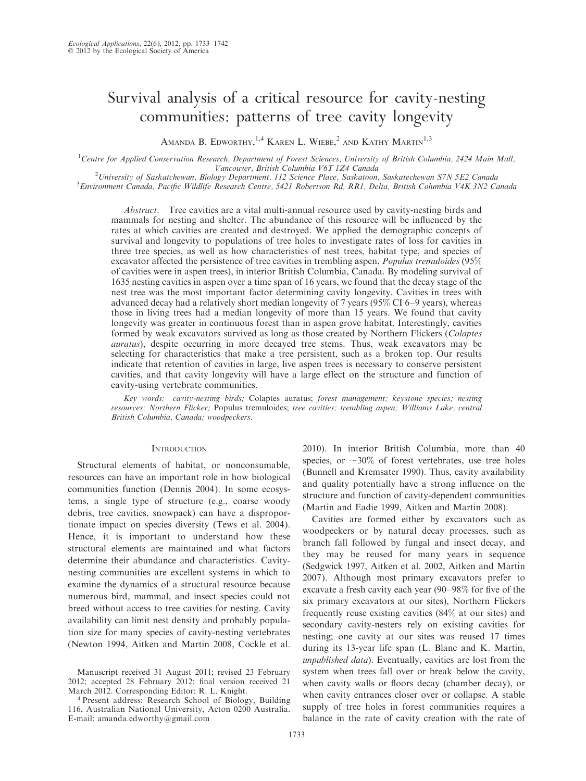# Survival analysis of a critical resource for cavity-nesting communities: patterns of tree cavity longevity

AMANDA B. EDWORTHY,  $^{1,4}$  Karen L. Wiebe,  $^{2}$  and Kathy Martin<sup>1,3</sup>

<sup>1</sup>Centre for Applied Conservation Research, Department of Forest Sciences, University of British Columbia, 2424 Main Mall, Vancouver, British Columbia V6T 1Z4 Canada<br><sup>2</sup>University of Saskatchewan, Biology Department, 112 Science Place, Saskatoon

University of Saskatchewan, Biology Department, 112 Science Place, Saskatoon, Saskatechewan S7N 5E2 Canada <sup>3</sup>

<sup>3</sup> Environment Canada, Pacific Wildlife Research Centre, 5421 Robertson Rd, RR1, Delta, British Columbia V4K 3N2 Canada

Abstract. Tree cavities are a vital multi-annual resource used by cavity-nesting birds and mammals for nesting and shelter. The abundance of this resource will be influenced by the rates at which cavities are created and destroyed. We applied the demographic concepts of survival and longevity to populations of tree holes to investigate rates of loss for cavities in three tree species, as well as how characteristics of nest trees, habitat type, and species of excavator affected the persistence of tree cavities in trembling aspen, Populus tremuloides (95% of cavities were in aspen trees), in interior British Columbia, Canada. By modeling survival of 1635 nesting cavities in aspen over a time span of 16 years, we found that the decay stage of the nest tree was the most important factor determining cavity longevity. Cavities in trees with advanced decay had a relatively short median longevity of 7 years (95% CI 6–9 years), whereas those in living trees had a median longevity of more than 15 years. We found that cavity longevity was greater in continuous forest than in aspen grove habitat. Interestingly, cavities formed by weak excavators survived as long as those created by Northern Flickers (Colaptes auratus), despite occurring in more decayed tree stems. Thus, weak excavators may be selecting for characteristics that make a tree persistent, such as a broken top. Our results indicate that retention of cavities in large, live aspen trees is necessary to conserve persistent cavities, and that cavity longevity will have a large effect on the structure and function of cavity-using vertebrate communities.

Key words: cavity-nesting birds; Colaptes auratus; forest management; keystone species; nesting resources; Northern Flicker; Populus tremuloides; tree cavities; trembling aspen; Williams Lake, central British Columbia, Canada; woodpeckers.

# **INTRODUCTION**

Structural elements of habitat, or nonconsumable, resources can have an important role in how biological communities function (Dennis 2004). In some ecosystems, a single type of structure (e.g., coarse woody debris, tree cavities, snowpack) can have a disproportionate impact on species diversity (Tews et al. 2004). Hence, it is important to understand how these structural elements are maintained and what factors determine their abundance and characteristics. Cavitynesting communities are excellent systems in which to examine the dynamics of a structural resource because numerous bird, mammal, and insect species could not breed without access to tree cavities for nesting. Cavity availability can limit nest density and probably population size for many species of cavity-nesting vertebrates (Newton 1994, Aitken and Martin 2008, Cockle et al. 2010). In interior British Columbia, more than 40 species, or  $\sim$ 30% of forest vertebrates, use tree holes (Bunnell and Kremsater 1990). Thus, cavity availability and quality potentially have a strong influence on the structure and function of cavity-dependent communities (Martin and Eadie 1999, Aitken and Martin 2008).

Cavities are formed either by excavators such as woodpeckers or by natural decay processes, such as branch fall followed by fungal and insect decay, and they may be reused for many years in sequence (Sedgwick 1997, Aitken et al. 2002, Aitken and Martin 2007). Although most primary excavators prefer to excavate a fresh cavity each year (90–98% for five of the six primary excavators at our sites), Northern Flickers frequently reuse existing cavities (84% at our sites) and secondary cavity-nesters rely on existing cavities for nesting; one cavity at our sites was reused 17 times during its 13-year life span (L. Blanc and K. Martin, unpublished data). Eventually, cavities are lost from the system when trees fall over or break below the cavity, when cavity walls or floors decay (chamber decay), or when cavity entrances closer over or collapse. A stable supply of tree holes in forest communities requires a balance in the rate of cavity creation with the rate of

Manuscript received 31 August 2011; revised 23 February 2012; accepted 28 February 2012; final version received 21 March 2012. Corresponding Editor: R. L. Knight.

<sup>4</sup> Present address: Research School of Biology, Building 116, Australian National University, Acton 0200 Australia. E-mail: amanda.edworthy@gmail.com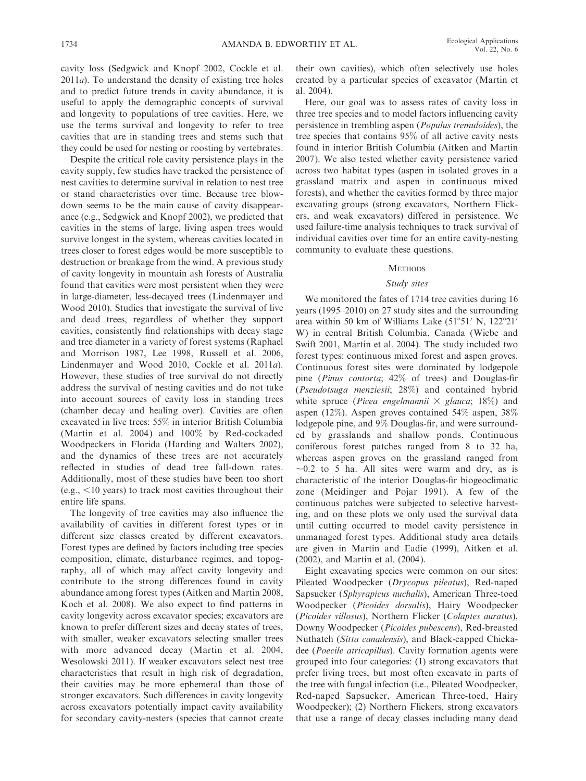cavity loss (Sedgwick and Knopf 2002, Cockle et al.  $2011a$ ). To understand the density of existing tree holes and to predict future trends in cavity abundance, it is useful to apply the demographic concepts of survival and longevity to populations of tree cavities. Here, we use the terms survival and longevity to refer to tree cavities that are in standing trees and stems such that they could be used for nesting or roosting by vertebrates.

Despite the critical role cavity persistence plays in the cavity supply, few studies have tracked the persistence of nest cavities to determine survival in relation to nest tree or stand characteristics over time. Because tree blowdown seems to be the main cause of cavity disappearance (e.g., Sedgwick and Knopf 2002), we predicted that cavities in the stems of large, living aspen trees would survive longest in the system, whereas cavities located in trees closer to forest edges would be more susceptible to destruction or breakage from the wind. A previous study of cavity longevity in mountain ash forests of Australia found that cavities were most persistent when they were in large-diameter, less-decayed trees (Lindenmayer and Wood 2010). Studies that investigate the survival of live and dead trees, regardless of whether they support cavities, consistently find relationships with decay stage and tree diameter in a variety of forest systems (Raphael and Morrison 1987, Lee 1998, Russell et al. 2006, Lindenmayer and Wood 2010, Cockle et al. 2011a). However, these studies of tree survival do not directly address the survival of nesting cavities and do not take into account sources of cavity loss in standing trees (chamber decay and healing over). Cavities are often excavated in live trees: 55% in interior British Columbia (Martin et al. 2004) and 100% by Red-cockaded Woodpeckers in Florida (Harding and Walters 2002), and the dynamics of these trees are not accurately reflected in studies of dead tree fall-down rates. Additionally, most of these studies have been too short  $(e.g., <10$  years) to track most cavities throughout their entire life spans.

The longevity of tree cavities may also influence the availability of cavities in different forest types or in different size classes created by different excavators. Forest types are defined by factors including tree species composition, climate, disturbance regimes, and topography, all of which may affect cavity longevity and contribute to the strong differences found in cavity abundance among forest types (Aitken and Martin 2008, Koch et al. 2008). We also expect to find patterns in cavity longevity across excavator species; excavators are known to prefer different sizes and decay states of trees, with smaller, weaker excavators selecting smaller trees with more advanced decay (Martin et al. 2004, Wesolowski 2011). If weaker excavators select nest tree characteristics that result in high risk of degradation, their cavities may be more ephemeral than those of stronger excavators. Such differences in cavity longevity across excavators potentially impact cavity availability for secondary cavity-nesters (species that cannot create

their own cavities), which often selectively use holes created by a particular species of excavator (Martin et al. 2004).

Here, our goal was to assess rates of cavity loss in three tree species and to model factors influencing cavity persistence in trembling aspen (Populus tremuloides), the tree species that contains 95% of all active cavity nests found in interior British Columbia (Aitken and Martin 2007). We also tested whether cavity persistence varied across two habitat types (aspen in isolated groves in a grassland matrix and aspen in continuous mixed forests), and whether the cavities formed by three major excavating groups (strong excavators, Northern Flickers, and weak excavators) differed in persistence. We used failure-time analysis techniques to track survival of individual cavities over time for an entire cavity-nesting community to evaluate these questions.

## **METHODS**

## Study sites

We monitored the fates of 1714 tree cavities during 16 years (1995–2010) on 27 study sites and the surrounding area within 50 km of Williams Lake (51°51' N, 122°21' W) in central British Columbia, Canada (Wiebe and Swift 2001, Martin et al. 2004). The study included two forest types: continuous mixed forest and aspen groves. Continuous forest sites were dominated by lodgepole pine (Pinus contorta; 42% of trees) and Douglas-fir (Pseudotsuga menziesii; 28%) and contained hybrid white spruce (Picea engelmannii  $\times$  glauca; 18%) and aspen (12%). Aspen groves contained 54% aspen, 38% lodgepole pine, and 9% Douglas-fir, and were surrounded by grasslands and shallow ponds. Continuous coniferous forest patches ranged from 8 to 32 ha, whereas aspen groves on the grassland ranged from  $\sim$ 0.2 to 5 ha. All sites were warm and dry, as is characteristic of the interior Douglas-fir biogeoclimatic zone (Meidinger and Pojar 1991). A few of the continuous patches were subjected to selective harvesting, and on these plots we only used the survival data until cutting occurred to model cavity persistence in unmanaged forest types. Additional study area details are given in Martin and Eadie (1999), Aitken et al. (2002), and Martin et al. (2004).

Eight excavating species were common on our sites: Pileated Woodpecker (Drycopus pileatus), Red-naped Sapsucker (Sphyrapicus nuchalis), American Three-toed Woodpecker (Picoides dorsalis), Hairy Woodpecker (Picoides villosus), Northern Flicker (Colaptes auratus), Downy Woodpecker (Picoides pubescens), Red-breasted Nuthatch (Sitta canadensis), and Black-capped Chickadee (Poecile atricapillus). Cavity formation agents were grouped into four categories: (1) strong excavators that prefer living trees, but most often excavate in parts of the tree with fungal infection (i.e., Pileated Woodpecker, Red-naped Sapsucker, American Three-toed, Hairy Woodpecker); (2) Northern Flickers, strong excavators that use a range of decay classes including many dead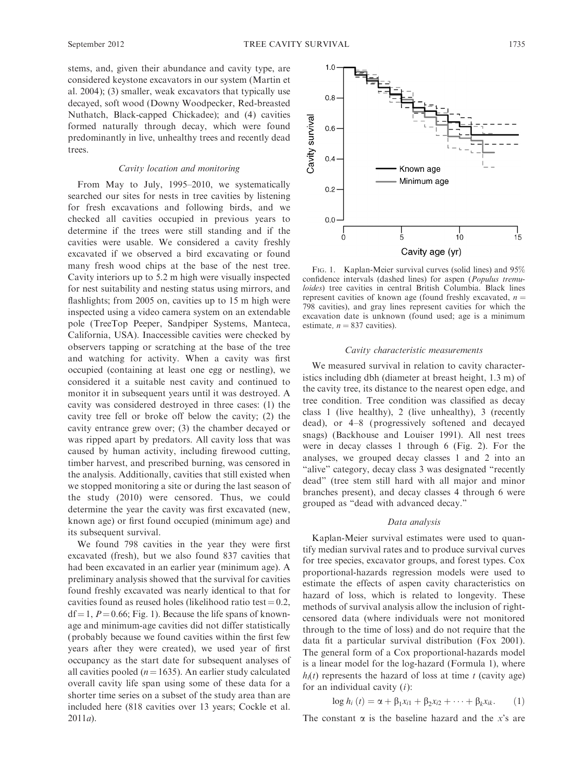stems, and, given their abundance and cavity type, are considered keystone excavators in our system (Martin et al. 2004); (3) smaller, weak excavators that typically use decayed, soft wood (Downy Woodpecker, Red-breasted Nuthatch, Black-capped Chickadee); and (4) cavities formed naturally through decay, which were found predominantly in live, unhealthy trees and recently dead trees.

## Cavity location and monitoring

From May to July, 1995–2010, we systematically searched our sites for nests in tree cavities by listening for fresh excavations and following birds, and we checked all cavities occupied in previous years to determine if the trees were still standing and if the cavities were usable. We considered a cavity freshly excavated if we observed a bird excavating or found many fresh wood chips at the base of the nest tree. Cavity interiors up to 5.2 m high were visually inspected for nest suitability and nesting status using mirrors, and flashlights; from 2005 on, cavities up to 15 m high were inspected using a video camera system on an extendable pole (TreeTop Peeper, Sandpiper Systems, Manteca, California, USA). Inaccessible cavities were checked by observers tapping or scratching at the base of the tree and watching for activity. When a cavity was first occupied (containing at least one egg or nestling), we considered it a suitable nest cavity and continued to monitor it in subsequent years until it was destroyed. A cavity was considered destroyed in three cases: (1) the cavity tree fell or broke off below the cavity; (2) the cavity entrance grew over; (3) the chamber decayed or was ripped apart by predators. All cavity loss that was caused by human activity, including firewood cutting, timber harvest, and prescribed burning, was censored in the analysis. Additionally, cavities that still existed when we stopped monitoring a site or during the last season of the study (2010) were censored. Thus, we could determine the year the cavity was first excavated (new, known age) or first found occupied (minimum age) and its subsequent survival.

We found 798 cavities in the year they were first excavated (fresh), but we also found 837 cavities that had been excavated in an earlier year (minimum age). A preliminary analysis showed that the survival for cavities found freshly excavated was nearly identical to that for cavities found as reused holes (likelihood ratio test =  $0.2$ ,  $df = 1$ ,  $P = 0.66$ ; Fig. 1). Because the life spans of knownage and minimum-age cavities did not differ statistically (probably because we found cavities within the first few years after they were created), we used year of first occupancy as the start date for subsequent analyses of all cavities pooled ( $n=1635$ ). An earlier study calculated overall cavity life span using some of these data for a shorter time series on a subset of the study area than are included here (818 cavities over 13 years; Cockle et al.  $2011a$ ).



FIG. 1. Kaplan-Meier survival curves (solid lines) and 95% confidence intervals (dashed lines) for aspen (Populus tremuloides) tree cavities in central British Columbia. Black lines represent cavities of known age (found freshly excavated,  $n =$ 798 cavities), and gray lines represent cavities for which the excavation date is unknown (found used; age is a minimum estimate,  $n = 837$  cavities).

#### Cavity characteristic measurements

We measured survival in relation to cavity characteristics including dbh (diameter at breast height, 1.3 m) of the cavity tree, its distance to the nearest open edge, and tree condition. Tree condition was classified as decay class 1 (live healthy), 2 (live unhealthy), 3 (recently dead), or 4–8 (progressively softened and decayed snags) (Backhouse and Louiser 1991). All nest trees were in decay classes 1 through 6 (Fig. 2). For the analyses, we grouped decay classes 1 and 2 into an "alive" category, decay class 3 was designated "recently dead'' (tree stem still hard with all major and minor branches present), and decay classes 4 through 6 were grouped as ''dead with advanced decay.''

#### Data analysis

Kaplan-Meier survival estimates were used to quantify median survival rates and to produce survival curves for tree species, excavator groups, and forest types. Cox proportional-hazards regression models were used to estimate the effects of aspen cavity characteristics on hazard of loss, which is related to longevity. These methods of survival analysis allow the inclusion of rightcensored data (where individuals were not monitored through to the time of loss) and do not require that the data fit a particular survival distribution (Fox 2001). The general form of a Cox proportional-hazards model is a linear model for the log-hazard (Formula 1), where  $h_i(t)$  represents the hazard of loss at time t (cavity age) for an individual cavity  $(i)$ :

$$
\log h_i (t) = \alpha + \beta_1 x_{i1} + \beta_2 x_{i2} + \dots + \beta_k x_{ik}. \qquad (1)
$$

The constant  $\alpha$  is the baseline hazard and the x's are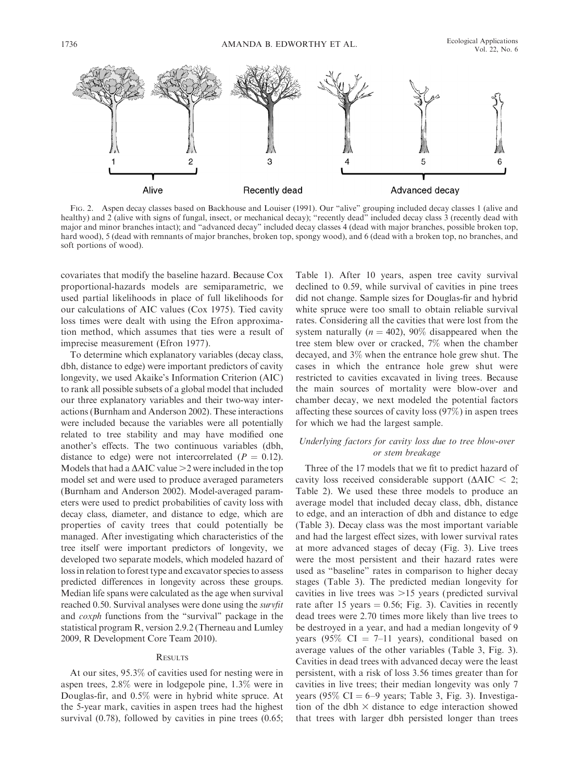

FIG. 2. Aspen decay classes based on Backhouse and Louiser (1991). Our ''alive'' grouping included decay classes 1 (alive and healthy) and 2 (alive with signs of fungal, insect, or mechanical decay); "recently dead" included decay class 3 (recently dead with major and minor branches intact); and ''advanced decay'' included decay classes 4 (dead with major branches, possible broken top, hard wood), 5 (dead with remnants of major branches, broken top, spongy wood), and 6 (dead with a broken top, no branches, and soft portions of wood).

covariates that modify the baseline hazard. Because Cox proportional-hazards models are semiparametric, we used partial likelihoods in place of full likelihoods for our calculations of AIC values (Cox 1975). Tied cavity loss times were dealt with using the Efron approximation method, which assumes that ties were a result of imprecise measurement (Efron 1977).

To determine which explanatory variables (decay class, dbh, distance to edge) were important predictors of cavity longevity, we used Akaike's Information Criterion (AIC) to rank all possible subsets of a global model that included our three explanatory variables and their two-way interactions (Burnham and Anderson 2002). These interactions were included because the variables were all potentially related to tree stability and may have modified one another's effects. The two continuous variables (dbh, distance to edge) were not intercorrelated ( $P = 0.12$ ). Models that had a  $\triangle AIC$  value  $\geq 2$  were included in the top model set and were used to produce averaged parameters (Burnham and Anderson 2002). Model-averaged parameters were used to predict probabilities of cavity loss with decay class, diameter, and distance to edge, which are properties of cavity trees that could potentially be managed. After investigating which characteristics of the tree itself were important predictors of longevity, we developed two separate models, which modeled hazard of loss in relation to forest type and excavator species to assess predicted differences in longevity across these groups. Median life spans were calculated as the age when survival reached 0.50. Survival analyses were done using the *survfit* and *coxph* functions from the "survival" package in the statistical program R, version 2.9.2 (Therneau and Lumley 2009, R Development Core Team 2010).

#### **RESULTS**

At our sites, 95.3% of cavities used for nesting were in aspen trees, 2.8% were in lodgepole pine, 1.3% were in Douglas-fir, and 0.5% were in hybrid white spruce. At the 5-year mark, cavities in aspen trees had the highest survival (0.78), followed by cavities in pine trees (0.65;

Table 1). After 10 years, aspen tree cavity survival declined to 0.59, while survival of cavities in pine trees did not change. Sample sizes for Douglas-fir and hybrid white spruce were too small to obtain reliable survival rates. Considering all the cavities that were lost from the system naturally ( $n = 402$ ), 90% disappeared when the tree stem blew over or cracked, 7% when the chamber decayed, and 3% when the entrance hole grew shut. The cases in which the entrance hole grew shut were restricted to cavities excavated in living trees. Because the main sources of mortality were blow-over and chamber decay, we next modeled the potential factors affecting these sources of cavity loss (97%) in aspen trees for which we had the largest sample.

# Underlying factors for cavity loss due to tree blow-over or stem breakage

Three of the 17 models that we fit to predict hazard of cavity loss received considerable support ( $\triangle AIC < 2$ ; Table 2). We used these three models to produce an average model that included decay class, dbh, distance to edge, and an interaction of dbh and distance to edge (Table 3). Decay class was the most important variable and had the largest effect sizes, with lower survival rates at more advanced stages of decay (Fig. 3). Live trees were the most persistent and their hazard rates were used as ''baseline'' rates in comparison to higher decay stages (Table 3). The predicted median longevity for cavities in live trees was  $>15$  years (predicted survival rate after 15 years  $= 0.56$ ; Fig. 3). Cavities in recently dead trees were 2.70 times more likely than live trees to be destroyed in a year, and had a median longevity of 9 years (95%  $CI = 7-11$  years), conditional based on average values of the other variables (Table 3, Fig. 3). Cavities in dead trees with advanced decay were the least persistent, with a risk of loss 3.56 times greater than for cavities in live trees; their median longevity was only 7 years (95%  $CI = 6-9$  years; Table 3, Fig. 3). Investigation of the dbh  $\times$  distance to edge interaction showed that trees with larger dbh persisted longer than trees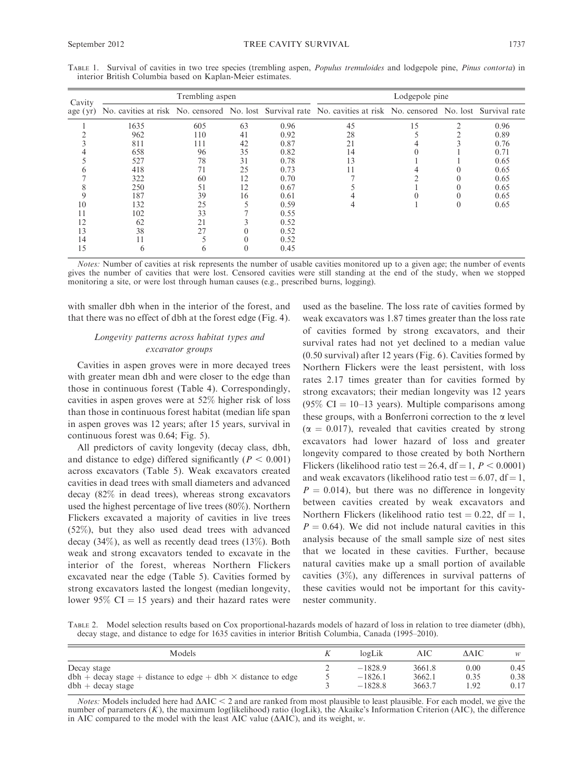| Cavity   | Trembling aspen |     |    |      | Lodgepole pine                                                                                                    |    |  |      |  |
|----------|-----------------|-----|----|------|-------------------------------------------------------------------------------------------------------------------|----|--|------|--|
| age (yr) |                 |     |    |      | No. cavities at risk No. censored No. lost Survival rate No. cavities at risk No. censored No. lost Survival rate |    |  |      |  |
|          | 1635            | 605 | 63 | 0.96 | 45                                                                                                                | 15 |  | 0.96 |  |
|          | 962             | 110 | 41 | 0.92 | 28                                                                                                                |    |  | 0.89 |  |
|          | 811             | 111 | 42 | 0.87 | 21                                                                                                                |    |  | 0.76 |  |
|          | 658             | 96  | 35 | 0.82 | 14                                                                                                                |    |  | 0.71 |  |
|          | 527             | 78  | 31 | 0.78 | 13                                                                                                                |    |  | 0.65 |  |
|          | 418             | 71  | 25 | 0.73 | 11                                                                                                                |    |  | 0.65 |  |
|          | 322             | 60  | 12 | 0.70 |                                                                                                                   |    |  | 0.65 |  |
|          | 250             | 51  | 12 | 0.67 |                                                                                                                   |    |  | 0.65 |  |
|          | 187             | 39  | 16 | 0.61 |                                                                                                                   |    |  | 0.65 |  |
| 10       | 132             | 25  |    | 0.59 | 4                                                                                                                 |    |  | 0.65 |  |
|          | 102             | 33  |    | 0.55 |                                                                                                                   |    |  |      |  |
| 12       | 62              | 21  |    | 0.52 |                                                                                                                   |    |  |      |  |
| 13       | 38              | 27  |    | 0.52 |                                                                                                                   |    |  |      |  |
| 14       |                 |     |    | 0.52 |                                                                                                                   |    |  |      |  |
| 15       | <sub>()</sub>   | n   |    | 0.45 |                                                                                                                   |    |  |      |  |

TABLE 1. Survival of cavities in two tree species (trembling aspen, *Populus tremuloides* and lodgepole pine, *Pinus contorta*) in interior British Columbia based on Kaplan-Meier estimates.

Notes: Number of cavities at risk represents the number of usable cavities monitored up to a given age; the number of events gives the number of cavities that were lost. Censored cavities were still standing at the end of the study, when we stopped monitoring a site, or were lost through human causes (e.g., prescribed burns, logging).

with smaller dbh when in the interior of the forest, and that there was no effect of dbh at the forest edge (Fig. 4).

# Longevity patterns across habitat types and excavator groups

Cavities in aspen groves were in more decayed trees with greater mean dbh and were closer to the edge than those in continuous forest (Table 4). Correspondingly, cavities in aspen groves were at 52% higher risk of loss than those in continuous forest habitat (median life span in aspen groves was 12 years; after 15 years, survival in continuous forest was 0.64; Fig. 5).

All predictors of cavity longevity (decay class, dbh, and distance to edge) differed significantly ( $P < 0.001$ ) across excavators (Table 5). Weak excavators created cavities in dead trees with small diameters and advanced decay (82% in dead trees), whereas strong excavators used the highest percentage of live trees (80%). Northern Flickers excavated a majority of cavities in live trees (52%), but they also used dead trees with advanced decay (34%), as well as recently dead trees (13%). Both weak and strong excavators tended to excavate in the interior of the forest, whereas Northern Flickers excavated near the edge (Table 5). Cavities formed by strong excavators lasted the longest (median longevity, lower 95%  $CI = 15$  years) and their hazard rates were used as the baseline. The loss rate of cavities formed by weak excavators was 1.87 times greater than the loss rate of cavities formed by strong excavators, and their survival rates had not yet declined to a median value (0.50 survival) after 12 years (Fig. 6). Cavities formed by Northern Flickers were the least persistent, with loss rates 2.17 times greater than for cavities formed by strong excavators; their median longevity was 12 years  $(95\% \text{ CI} = 10-13 \text{ years})$ . Multiple comparisons among these groups, with a Bonferroni correction to the  $\alpha$  level  $(\alpha = 0.017)$ , revealed that cavities created by strong excavators had lower hazard of loss and greater longevity compared to those created by both Northern Flickers (likelihood ratio test = 26.4, df = 1,  $P < 0.0001$ ) and weak excavators (likelihood ratio test  $= 6.07$ , df  $= 1$ ,  $P = 0.014$ , but there was no difference in longevity between cavities created by weak excavators and Northern Flickers (likelihood ratio test  $= 0.22$ , df  $= 1$ ,  $P = 0.64$ ). We did not include natural cavities in this analysis because of the small sample size of nest sites that we located in these cavities. Further, because natural cavities make up a small portion of available cavities (3%), any differences in survival patterns of these cavities would not be important for this cavitynester community.

TABLE 2. Model selection results based on Cox proportional-hazards models of hazard of loss in relation to tree diameter (dbh), decay stage, and distance to edge for 1635 cavities in interior British Columbia, Canada (1995–2010).

| Models                                                                 |   | logLi     | AIC    | AAIC | w    |
|------------------------------------------------------------------------|---|-----------|--------|------|------|
| Decay stage                                                            | ∠ | $-1828.9$ | 3661.8 | 0.00 | 0.45 |
| $dbh + decay$ stage + distance to edge + dbh $\times$ distance to edge |   | $-1826.1$ | 3662.1 | 0.35 | 0.38 |
| $dbh + decay stage$                                                    |   | $-18288$  | 3663.7 | -92  | 0.17 |

Notes: Models included here had  $\triangle AIC < 2$  and are ranked from most plausible to least plausible. For each model, we give the number of parameters  $(K)$ , the maximum log(likelihood) ratio (logLik), the Akaike's Information Criterion (AIC), the difference in AIC compared to the model with the least AIC value  $(AAIC)$ , and its weight, w.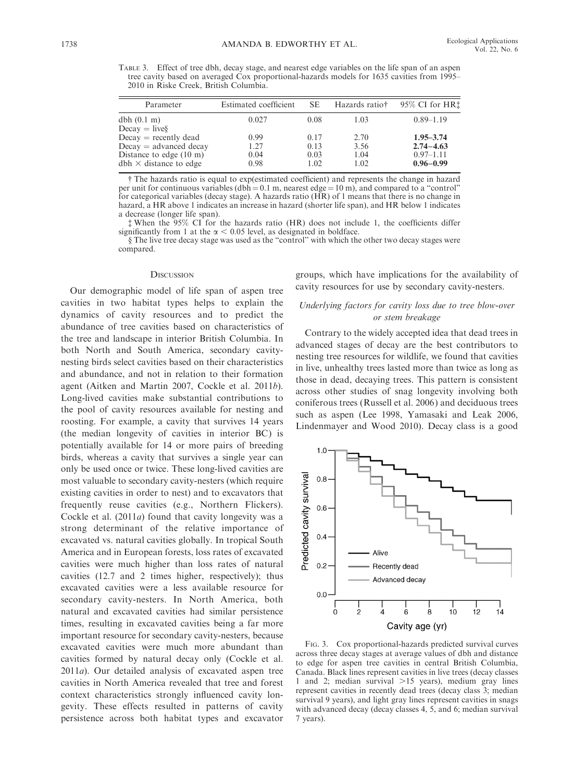TABLE 3. Effect of tree dbh, decay stage, and nearest edge variables on the life span of an aspen tree cavity based on averaged Cox proportional-hazards models for 1635 cavities from 1995– 2010 in Riske Creek, British Columbia.

| Parameter                                                          | Estimated coefficient | SE.          | Hazards ratio† | 95% CI for HR‡                 |
|--------------------------------------------------------------------|-----------------------|--------------|----------------|--------------------------------|
| dbh(0.1 m)<br>$Decay = live§$                                      | 0.027                 | 0.08         | 1.03           | $0.89 - 1.19$                  |
| $Decay = recently dead$<br>$Decay = advanced decay$                | 0.99<br>1.27          | 0.17<br>0.13 | 2.70<br>3.56   | $1.95 - 3.74$<br>$2.74 - 4.63$ |
| Distance to edge $(10 \text{ m})$<br>$dbh \times distance to edge$ | 0.04<br>0.98          | 0.03<br>1.02 | 1.04<br>1.02   | $0.97 - 1.11$<br>$0.96 - 0.99$ |

- The hazards ratio is equal to exp(estimated coefficient) and represents the change in hazard per unit for continuous variables (dbh = 0.1 m, nearest edge =  $10 \text{ m}$ ), and compared to a "control" for categorical variables (decay stage). A hazards ratio (HR) of 1 means that there is no change in hazard, a HR above 1 indicates an increase in hazard (shorter life span), and HR below 1 indicates a decrease (longer life span).

 When the 95% CI for the hazards ratio (HR) does not include 1, the coefficients differ significantly from 1 at the  $\alpha$  < 0.05 level, as designated in boldface.

§ The live tree decay stage was used as the ''control'' with which the other two decay stages were compared.

#### **DISCUSSION**

Our demographic model of life span of aspen tree cavities in two habitat types helps to explain the dynamics of cavity resources and to predict the abundance of tree cavities based on characteristics of the tree and landscape in interior British Columbia. In both North and South America, secondary cavitynesting birds select cavities based on their characteristics and abundance, and not in relation to their formation agent (Aitken and Martin 2007, Cockle et al. 2011b). Long-lived cavities make substantial contributions to the pool of cavity resources available for nesting and roosting. For example, a cavity that survives 14 years (the median longevity of cavities in interior BC) is potentially available for 14 or more pairs of breeding birds, whereas a cavity that survives a single year can only be used once or twice. These long-lived cavities are most valuable to secondary cavity-nesters (which require existing cavities in order to nest) and to excavators that frequently reuse cavities (e.g., Northern Flickers). Cockle et al. (2011a) found that cavity longevity was a strong determinant of the relative importance of excavated vs. natural cavities globally. In tropical South America and in European forests, loss rates of excavated cavities were much higher than loss rates of natural cavities (12.7 and 2 times higher, respectively); thus excavated cavities were a less available resource for secondary cavity-nesters. In North America, both natural and excavated cavities had similar persistence times, resulting in excavated cavities being a far more important resource for secondary cavity-nesters, because excavated cavities were much more abundant than cavities formed by natural decay only (Cockle et al. 2011a). Our detailed analysis of excavated aspen tree cavities in North America revealed that tree and forest context characteristics strongly influenced cavity longevity. These effects resulted in patterns of cavity persistence across both habitat types and excavator groups, which have implications for the availability of cavity resources for use by secondary cavity-nesters.

# Underlying factors for cavity loss due to tree blow-over or stem breakage

Contrary to the widely accepted idea that dead trees in advanced stages of decay are the best contributors to nesting tree resources for wildlife, we found that cavities in live, unhealthy trees lasted more than twice as long as those in dead, decaying trees. This pattern is consistent across other studies of snag longevity involving both coniferous trees (Russell et al. 2006) and deciduous trees such as aspen (Lee 1998, Yamasaki and Leak 2006, Lindenmayer and Wood 2010). Decay class is a good



FIG. 3. Cox proportional-hazards predicted survival curves across three decay stages at average values of dbh and distance to edge for aspen tree cavities in central British Columbia, Canada. Black lines represent cavities in live trees (decay classes 1 and 2; median survival  $>15$  years), medium gray lines represent cavities in recently dead trees (decay class 3; median survival 9 years), and light gray lines represent cavities in snags with advanced decay (decay classes 4, 5, and 6; median survival 7 years).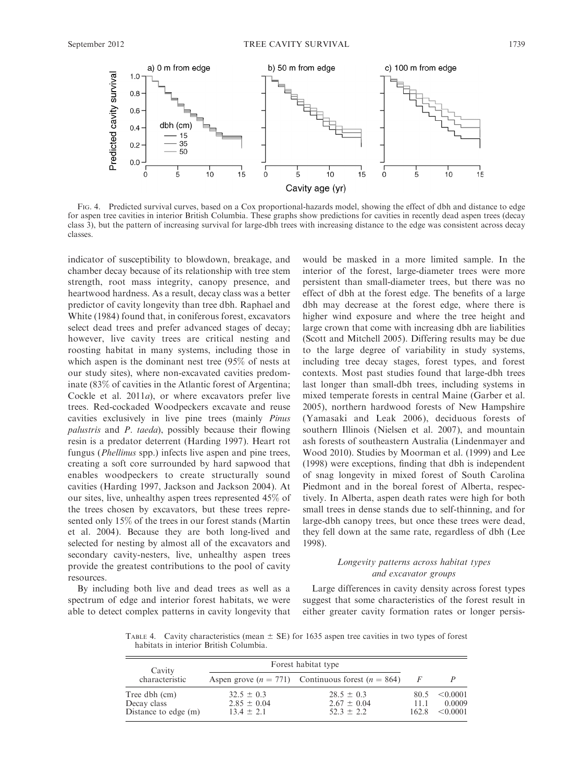

FIG. 4. Predicted survival curves, based on a Cox proportional-hazards model, showing the effect of dbh and distance to edge for aspen tree cavities in interior British Columbia. These graphs show predictions for cavities in recently dead aspen trees (decay class 3), but the pattern of increasing survival for large-dbh trees with increasing distance to the edge was consistent across decay classes.

indicator of susceptibility to blowdown, breakage, and chamber decay because of its relationship with tree stem strength, root mass integrity, canopy presence, and heartwood hardness. As a result, decay class was a better predictor of cavity longevity than tree dbh. Raphael and White (1984) found that, in coniferous forest, excavators select dead trees and prefer advanced stages of decay; however, live cavity trees are critical nesting and roosting habitat in many systems, including those in which aspen is the dominant nest tree (95% of nests at our study sites), where non-excavated cavities predominate (83% of cavities in the Atlantic forest of Argentina; Cockle et al.  $2011a$ , or where excavators prefer live trees. Red-cockaded Woodpeckers excavate and reuse cavities exclusively in live pine trees (mainly Pinus palustris and P. taeda), possibly because their flowing resin is a predator deterrent (Harding 1997). Heart rot fungus (*Phellinus* spp.) infects live aspen and pine trees, creating a soft core surrounded by hard sapwood that enables woodpeckers to create structurally sound cavities (Harding 1997, Jackson and Jackson 2004). At our sites, live, unhealthy aspen trees represented 45% of the trees chosen by excavators, but these trees represented only 15% of the trees in our forest stands (Martin et al. 2004). Because they are both long-lived and selected for nesting by almost all of the excavators and secondary cavity-nesters, live, unhealthy aspen trees provide the greatest contributions to the pool of cavity resources.

By including both live and dead trees as well as a spectrum of edge and interior forest habitats, we were able to detect complex patterns in cavity longevity that would be masked in a more limited sample. In the interior of the forest, large-diameter trees were more persistent than small-diameter trees, but there was no effect of dbh at the forest edge. The benefits of a large dbh may decrease at the forest edge, where there is higher wind exposure and where the tree height and large crown that come with increasing dbh are liabilities (Scott and Mitchell 2005). Differing results may be due to the large degree of variability in study systems, including tree decay stages, forest types, and forest contexts. Most past studies found that large-dbh trees last longer than small-dbh trees, including systems in mixed temperate forests in central Maine (Garber et al. 2005), northern hardwood forests of New Hampshire (Yamasaki and Leak 2006), deciduous forests of southern Illinois (Nielsen et al. 2007), and mountain ash forests of southeastern Australia (Lindenmayer and Wood 2010). Studies by Moorman et al. (1999) and Lee (1998) were exceptions, finding that dbh is independent of snag longevity in mixed forest of South Carolina Piedmont and in the boreal forest of Alberta, respectively. In Alberta, aspen death rates were high for both small trees in dense stands due to self-thinning, and for large-dbh canopy trees, but once these trees were dead, they fell down at the same rate, regardless of dbh (Lee 1998).

# Longevity patterns across habitat types and excavator groups

Large differences in cavity density across forest types suggest that some characteristics of the forest result in either greater cavity formation rates or longer persis-

TABLE 4. Cavity characteristics (mean  $\pm$  SE) for 1635 aspen tree cavities in two types of forest habitats in interior British Columbia.

| Cavity                                               | Forest habitat type                                 |                                                       |                       |                                |  |
|------------------------------------------------------|-----------------------------------------------------|-------------------------------------------------------|-----------------------|--------------------------------|--|
| characteristic                                       |                                                     | Aspen grove $(n = 771)$ Continuous forest $(n = 864)$ |                       |                                |  |
| Tree dbh (cm)<br>Decay class<br>Distance to edge (m) | $32.5 \pm 0.3$<br>$2.85 \pm 0.04$<br>$13.4 \pm 2.1$ | $28.5 \pm 0.3$<br>$2.67 \pm 0.04$<br>$52.3 \pm 2.2$   | 80.5<br>11.1<br>162.8 | < 0.0001<br>0.0009<br>< 0.0001 |  |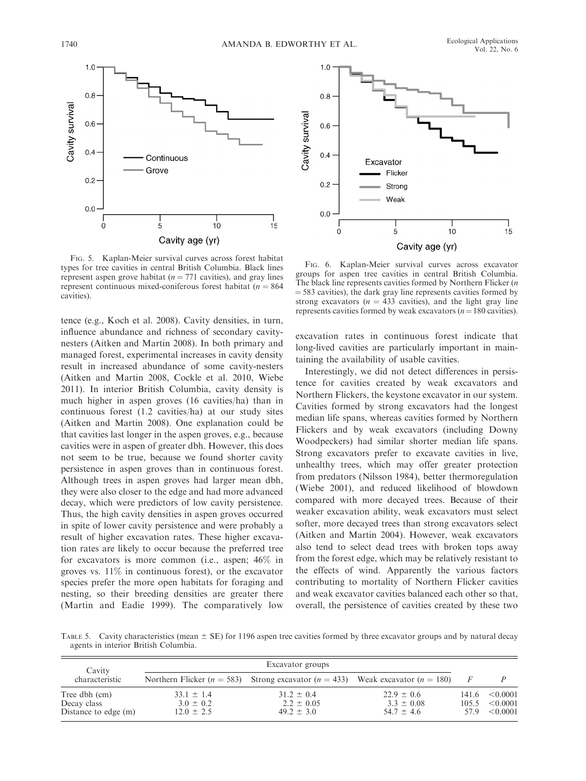

FIG. 5. Kaplan-Meier survival curves across forest habitat types for tree cavities in central British Columbia. Black lines represent aspen grove habitat ( $n = 771$  cavities), and gray lines represent continuous mixed-coniferous forest habitat ( $n = 864$ ) cavities).

tence (e.g., Koch et al. 2008). Cavity densities, in turn, influence abundance and richness of secondary cavitynesters (Aitken and Martin 2008). In both primary and managed forest, experimental increases in cavity density result in increased abundance of some cavity-nesters (Aitken and Martin 2008, Cockle et al. 2010, Wiebe 2011). In interior British Columbia, cavity density is much higher in aspen groves (16 cavities/ha) than in continuous forest (1.2 cavities/ha) at our study sites (Aitken and Martin 2008). One explanation could be that cavities last longer in the aspen groves, e.g., because cavities were in aspen of greater dbh. However, this does not seem to be true, because we found shorter cavity persistence in aspen groves than in continuous forest. Although trees in aspen groves had larger mean dbh, they were also closer to the edge and had more advanced decay, which were predictors of low cavity persistence. Thus, the high cavity densities in aspen groves occurred in spite of lower cavity persistence and were probably a result of higher excavation rates. These higher excavation rates are likely to occur because the preferred tree for excavators is more common (i.e., aspen; 46% in groves vs. 11% in continuous forest), or the excavator species prefer the more open habitats for foraging and nesting, so their breeding densities are greater there (Martin and Eadie 1999). The comparatively low



FIG. 6. Kaplan-Meier survival curves across excavator groups for aspen tree cavities in central British Columbia. The black line represents cavities formed by Northern Flicker (n  $=$  583 cavities), the dark gray line represents cavities formed by strong excavators ( $n = 433$  cavities), and the light gray line represents cavities formed by weak excavators  $(n=180 \text{ cavities}).$ 

excavation rates in continuous forest indicate that long-lived cavities are particularly important in maintaining the availability of usable cavities.

Interestingly, we did not detect differences in persistence for cavities created by weak excavators and Northern Flickers, the keystone excavator in our system. Cavities formed by strong excavators had the longest median life spans, whereas cavities formed by Northern Flickers and by weak excavators (including Downy Woodpeckers) had similar shorter median life spans. Strong excavators prefer to excavate cavities in live, unhealthy trees, which may offer greater protection from predators (Nilsson 1984), better thermoregulation (Wiebe 2001), and reduced likelihood of blowdown compared with more decayed trees. Because of their weaker excavation ability, weak excavators must select softer, more decayed trees than strong excavators select (Aitken and Martin 2004). However, weak excavators also tend to select dead trees with broken tops away from the forest edge, which may be relatively resistant to the effects of wind. Apparently the various factors contributing to mortality of Northern Flicker cavities and weak excavator cavities balanced each other so that, overall, the persistence of cavities created by these two

TABLE 5. Cavity characteristics (mean  $\pm$  SE) for 1196 aspen tree cavities formed by three excavator groups and by natural decay agents in interior British Columbia.

| Cavity                                               |                                                   |                                                                                            |                                                    |                |                                       |
|------------------------------------------------------|---------------------------------------------------|--------------------------------------------------------------------------------------------|----------------------------------------------------|----------------|---------------------------------------|
| characteristic                                       |                                                   | Northern Flicker ( $n = 583$ ) Strong excavator ( $n = 433$ ) Weak excavator ( $n = 180$ ) |                                                    |                |                                       |
| Tree dbh (cm)<br>Decay class<br>Distance to edge (m) | $33.1 \pm 1.4$<br>$3.0 \pm 0.2$<br>$12.0 \pm 2.5$ | $31.2 \pm 0.4$<br>$2.2 \pm 0.05$<br>$49.2 \pm 3.0$                                         | $22.9 \pm 0.6$<br>$3.3 \pm 0.08$<br>$54.7 \pm 4.6$ | 141.6<br>105.5 | $\leq 0.0001$<br>< 0.0001<br>< 0.0001 |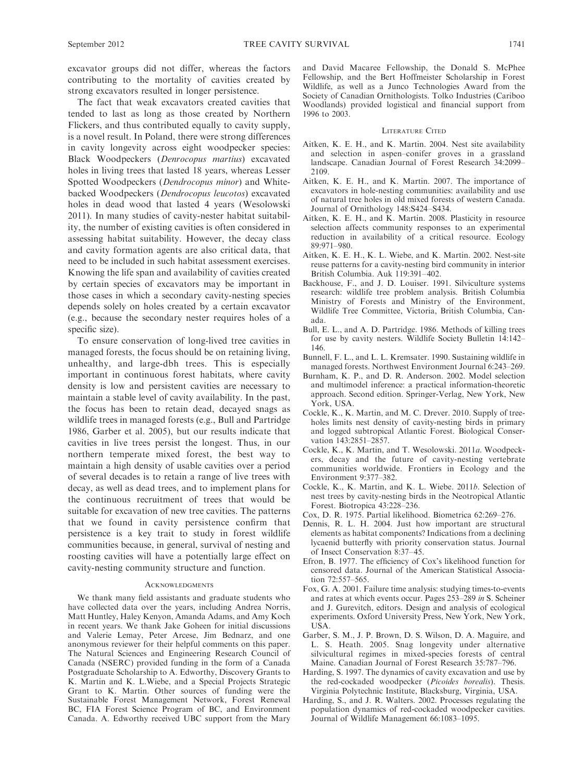excavator groups did not differ, whereas the factors contributing to the mortality of cavities created by strong excavators resulted in longer persistence.

The fact that weak excavators created cavities that tended to last as long as those created by Northern Flickers, and thus contributed equally to cavity supply, is a novel result. In Poland, there were strong differences in cavity longevity across eight woodpecker species: Black Woodpeckers (Denrocopus martius) excavated holes in living trees that lasted 18 years, whereas Lesser Spotted Woodpeckers (Dendrocopus minor) and Whitebacked Woodpeckers (Dendrocopus leucotos) excavated holes in dead wood that lasted 4 years (Wesolowski 2011). In many studies of cavity-nester habitat suitability, the number of existing cavities is often considered in assessing habitat suitability. However, the decay class and cavity formation agents are also critical data, that need to be included in such habitat assessment exercises. Knowing the life span and availability of cavities created by certain species of excavators may be important in those cases in which a secondary cavity-nesting species depends solely on holes created by a certain excavator (e.g., because the secondary nester requires holes of a specific size).

To ensure conservation of long-lived tree cavities in managed forests, the focus should be on retaining living, unhealthy, and large-dbh trees. This is especially important in continuous forest habitats, where cavity density is low and persistent cavities are necessary to maintain a stable level of cavity availability. In the past, the focus has been to retain dead, decayed snags as wildlife trees in managed forests (e.g., Bull and Partridge 1986, Garber et al. 2005), but our results indicate that cavities in live trees persist the longest. Thus, in our northern temperate mixed forest, the best way to maintain a high density of usable cavities over a period of several decades is to retain a range of live trees with decay, as well as dead trees, and to implement plans for the continuous recruitment of trees that would be suitable for excavation of new tree cavities. The patterns that we found in cavity persistence confirm that persistence is a key trait to study in forest wildlife communities because, in general, survival of nesting and roosting cavities will have a potentially large effect on cavity-nesting community structure and function.

#### **ACKNOWLEDGMENTS**

We thank many field assistants and graduate students who have collected data over the years, including Andrea Norris, Matt Huntley, Haley Kenyon, Amanda Adams, and Amy Koch in recent years. We thank Jake Goheen for initial discussions and Valerie Lemay, Peter Arcese, Jim Bednarz, and one anonymous reviewer for their helpful comments on this paper. The Natural Sciences and Engineering Research Council of Canada (NSERC) provided funding in the form of a Canada Postgraduate Scholarship to A. Edworthy, Discovery Grants to K. Martin and K. L.Wiebe, and a Special Projects Strategic Grant to K. Martin. Other sources of funding were the Sustainable Forest Management Network, Forest Renewal BC, FIA Forest Science Program of BC, and Environment Canada. A. Edworthy received UBC support from the Mary and David Macaree Fellowship, the Donald S. McPhee Fellowship, and the Bert Hoffmeister Scholarship in Forest Wildlife, as well as a Junco Technologies Award from the Society of Canadian Ornithologists. Tolko Industries (Cariboo Woodlands) provided logistical and financial support from 1996 to 2003.

## LITERATURE CITED

- Aitken, K. E. H., and K. Martin. 2004. Nest site availability and selection in aspen–conifer groves in a grassland landscape. Canadian Journal of Forest Research 34:2099– 2109.
- Aitken, K. E. H., and K. Martin. 2007. The importance of excavators in hole-nesting communities: availability and use of natural tree holes in old mixed forests of western Canada. Journal of Ornithology 148:S424–S434.
- Aitken, K. E. H., and K. Martin. 2008. Plasticity in resource selection affects community responses to an experimental reduction in availability of a critical resource. Ecology 89:971–980.
- Aitken, K. E. H., K. L. Wiebe, and K. Martin. 2002. Nest-site reuse patterns for a cavity-nesting bird community in interior British Columbia. Auk 119:391–402.
- Backhouse, F., and J. D. Louiser. 1991. Silviculture systems research: wildlife tree problem analysis. British Columbia Ministry of Forests and Ministry of the Environment, Wildlife Tree Committee, Victoria, British Columbia, Canada.
- Bull, E. L., and A. D. Partridge. 1986. Methods of killing trees for use by cavity nesters. Wildlife Society Bulletin 14:142– 146.
- Bunnell, F. L., and L. L. Kremsater. 1990. Sustaining wildlife in managed forests. Northwest Environment Journal 6:243–269.
- Burnham, K. P., and D. R. Anderson. 2002. Model selection and multimodel inference: a practical information-theoretic approach. Second edition. Springer-Verlag, New York, New York, USA.
- Cockle, K., K. Martin, and M. C. Drever. 2010. Supply of treeholes limits nest density of cavity-nesting birds in primary and logged subtropical Atlantic Forest. Biological Conservation 143:2851–2857.
- Cockle, K., K. Martin, and T. Wesolowski. 2011a. Woodpeckers, decay and the future of cavity-nesting vertebrate communities worldwide. Frontiers in Ecology and the Environment 9:377–382.
- Cockle, K., K. Martin, and K. L. Wiebe. 2011b. Selection of nest trees by cavity-nesting birds in the Neotropical Atlantic Forest. Biotropica 43:228–236.
- Cox, D. R. 1975. Partial likelihood. Biometrica 62:269–276.
- Dennis, R. L. H. 2004. Just how important are structural elements as habitat components? Indications from a declining lycaenid butterfly with priority conservation status. Journal of Insect Conservation 8:37–45.
- Efron, B. 1977. The efficiency of Cox's likelihood function for censored data. Journal of the American Statistical Association 72:557–565.
- Fox, G. A. 2001. Failure time analysis: studying times-to-events and rates at which events occur. Pages 253–289 in S. Scheiner and J. Gurevitch, editors. Design and analysis of ecological experiments. Oxford University Press, New York, New York, USA.
- Garber, S. M., J. P. Brown, D. S. Wilson, D. A. Maguire, and S. Heath. 2005. Snag longevity under alternative silvicultural regimes in mixed-species forests of central Maine. Canadian Journal of Forest Research 35:787–796.
- Harding, S. 1997. The dynamics of cavity excavation and use by the red-cockaded woodpecker (Picoides borealis). Thesis. Virginia Polytechnic Institute, Blacksburg, Virginia, USA.
- Harding, S., and J. R. Walters. 2002. Processes regulating the population dynamics of red-cockaded woodpecker cavities. Journal of Wildlife Management 66:1083–1095.